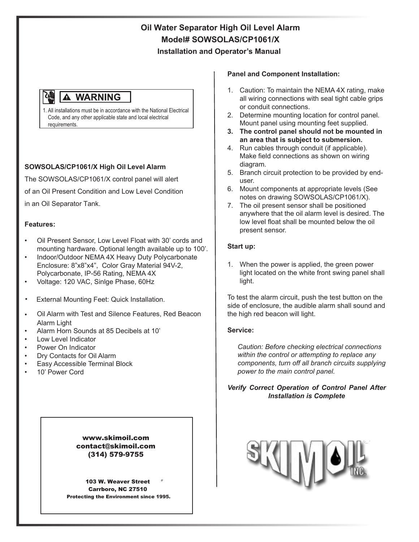# **Oil Water Separator High Oil Level Alarm Model# SOWSOLAS/CP1061/X Installation and Operator's Manual**

#### 州 **A WARNING**

1. All installations must be in accordance with the National Electrical Code, and any other applicable state and local electrical requirements.

## **SOWSOLAS/CP1061/X High Oil Level Alarm**

The SOWSOLAS/CP1061/X control panel will alert of an Oil Present Condition and Low Level Condition in an Oil Separator Tank.

### **Features:**

- Oil Present Sensor, Low Level Float with 30' cords and mounting hardware. Optional length available up to 100'.
- Indoor/Outdoor NEMA 4X Heavy Duty Polycarbonate Enclosure: 8"x8"x4", Color Gray Material 94V-2, Polycarbonate, IP-56 Rating, NEMA 4X
- Voltage: 120 VAC, Sinlge Phase, 60Hz
- External Mounting Feet: Quick Installation.
- Oil Alarm with Test and Silence Features, Red Beacon Alarm Light
- Alarm Horn Sounds at 85 Decibels at 10'
- Low Level Indicator
- Power On Indicator
- Dry Contacts for Oil Alarm
- Easy Accessible Terminal Block
- 10' Power Cord

#### www.skimoil.com contact@skimoil.com (314) 579-9755

103 W. Weaver Street Carrboro, NC 27510 Protecting the Environment since 1995.

#### **Panel and Component Installation:**

- 1. Caution: To maintain the NEMA 4X rating, make all wiring connections with seal tight cable grips or conduit connections.
- 2. Determine mounting location for control panel. Mount panel using mounting feet supplied.
- **3. The control panel should not be mounted in an area that is subject to submersion.**
- 4. Run cables through conduit (if applicable). Make field connections as shown on wiring diagram.
- 5. Branch circuit protection to be provided by enduser.
- 6. Mount components at appropriate levels (See notes on drawing SOWSOLAS/CP1061/X).
- 7. The oil present sensor shall be positioned anywhere that the oil alarm level is desired. The low level float shall be mounted below the oil present sensor.

#### **Start up:**

1. When the power is applied, the green power light located on the white front swing panel shall light.

To test the alarm circuit, push the test button on the side of enclosure, the audible alarm shall sound and the high red beacon will light.

#### **Service:**

*Caution: Before checking electrical connections within the control or attempting to replace any components, turn off all branch circuits supplying power to the main control panel.*

### *Verify Correct Operation of Control Panel After Installation is Complete*